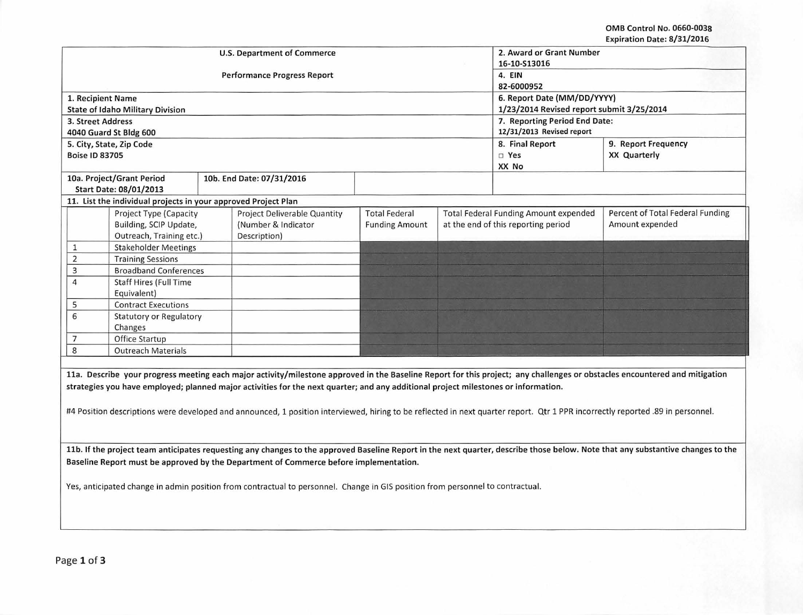## OMB Control No. 0660-0038 Expiration Date: 8/31/2016

|                                                                                                                                                                                 |                                                                |  | <b>U.S. Department of Commerce</b>  | 2. Award or Grant Number               |                               |                                              |                                                                                                                                                                            |  |  |
|---------------------------------------------------------------------------------------------------------------------------------------------------------------------------------|----------------------------------------------------------------|--|-------------------------------------|----------------------------------------|-------------------------------|----------------------------------------------|----------------------------------------------------------------------------------------------------------------------------------------------------------------------------|--|--|
|                                                                                                                                                                                 |                                                                |  |                                     | 16-10-S13016                           |                               |                                              |                                                                                                                                                                            |  |  |
|                                                                                                                                                                                 |                                                                |  | <b>Performance Progress Report</b>  | 4. EIN                                 |                               |                                              |                                                                                                                                                                            |  |  |
|                                                                                                                                                                                 |                                                                |  |                                     |                                        |                               | 82-6000952                                   |                                                                                                                                                                            |  |  |
| 1. Recipient Name                                                                                                                                                               |                                                                |  |                                     |                                        |                               | 6. Report Date (MM/DD/YYYY)                  |                                                                                                                                                                            |  |  |
|                                                                                                                                                                                 | <b>State of Idaho Military Division</b>                        |  |                                     |                                        |                               | 1/23/2014 Revised report submit 3/25/2014    |                                                                                                                                                                            |  |  |
| 3. Street Address                                                                                                                                                               |                                                                |  |                                     |                                        | 7. Reporting Period End Date: |                                              |                                                                                                                                                                            |  |  |
|                                                                                                                                                                                 | 4040 Guard St Bldg 600                                         |  |                                     | 12/31/2013 Revised report              |                               |                                              |                                                                                                                                                                            |  |  |
|                                                                                                                                                                                 | 5. City, State, Zip Code                                       |  |                                     | 8. Final Report<br>9. Report Frequency |                               |                                              |                                                                                                                                                                            |  |  |
|                                                                                                                                                                                 |                                                                |  |                                     |                                        |                               |                                              |                                                                                                                                                                            |  |  |
| <b>Boise ID 83705</b>                                                                                                                                                           |                                                                |  |                                     |                                        |                               | □ Yes                                        | <b>XX Quarterly</b>                                                                                                                                                        |  |  |
|                                                                                                                                                                                 |                                                                |  |                                     |                                        |                               | XX No                                        |                                                                                                                                                                            |  |  |
|                                                                                                                                                                                 | 10a. Project/Grant Period                                      |  | 10b. End Date: 07/31/2016           |                                        |                               |                                              |                                                                                                                                                                            |  |  |
|                                                                                                                                                                                 | Start Date: 08/01/2013                                         |  |                                     |                                        |                               |                                              |                                                                                                                                                                            |  |  |
|                                                                                                                                                                                 | 11. List the individual projects in your approved Project Plan |  |                                     |                                        |                               |                                              |                                                                                                                                                                            |  |  |
|                                                                                                                                                                                 | Project Type (Capacity                                         |  | <b>Project Deliverable Quantity</b> | <b>Total Federal</b>                   |                               | <b>Total Federal Funding Amount expended</b> | Percent of Total Federal Funding                                                                                                                                           |  |  |
|                                                                                                                                                                                 | Building, SCIP Update,                                         |  | (Number & Indicator                 | <b>Funding Amount</b>                  |                               | at the end of this reporting period          | Amount expended                                                                                                                                                            |  |  |
|                                                                                                                                                                                 | Outreach, Training etc.)                                       |  | Description)                        |                                        |                               |                                              |                                                                                                                                                                            |  |  |
| $\mathbf{1}$                                                                                                                                                                    | <b>Stakeholder Meetings</b>                                    |  |                                     |                                        |                               |                                              |                                                                                                                                                                            |  |  |
| $\overline{2}$                                                                                                                                                                  | <b>Training Sessions</b>                                       |  |                                     |                                        |                               |                                              |                                                                                                                                                                            |  |  |
| 3                                                                                                                                                                               | <b>Broadband Conferences</b>                                   |  |                                     |                                        |                               |                                              |                                                                                                                                                                            |  |  |
| $\overline{4}$                                                                                                                                                                  | <b>Staff Hires (Full Time</b>                                  |  |                                     |                                        |                               |                                              |                                                                                                                                                                            |  |  |
|                                                                                                                                                                                 | Equivalent)                                                    |  |                                     |                                        |                               |                                              |                                                                                                                                                                            |  |  |
| 5                                                                                                                                                                               | <b>Contract Executions</b>                                     |  |                                     |                                        |                               |                                              |                                                                                                                                                                            |  |  |
| 6                                                                                                                                                                               | <b>Statutory or Regulatory</b>                                 |  |                                     |                                        |                               |                                              |                                                                                                                                                                            |  |  |
|                                                                                                                                                                                 | Changes                                                        |  |                                     |                                        |                               |                                              |                                                                                                                                                                            |  |  |
| $\overline{7}$                                                                                                                                                                  | Office Startup                                                 |  |                                     |                                        |                               |                                              |                                                                                                                                                                            |  |  |
| 8                                                                                                                                                                               | <b>Outreach Materials</b>                                      |  |                                     |                                        |                               |                                              |                                                                                                                                                                            |  |  |
|                                                                                                                                                                                 |                                                                |  |                                     |                                        |                               |                                              |                                                                                                                                                                            |  |  |
|                                                                                                                                                                                 |                                                                |  |                                     |                                        |                               |                                              |                                                                                                                                                                            |  |  |
|                                                                                                                                                                                 |                                                                |  |                                     |                                        |                               |                                              | 11a. Describe your progress meeting each major activity/milestone approved in the Baseline Report for this project; any challenges or obstacles encountered and mitigation |  |  |
| strategies you have employed; planned major activities for the next quarter; and any additional project milestones or information.                                              |                                                                |  |                                     |                                        |                               |                                              |                                                                                                                                                                            |  |  |
|                                                                                                                                                                                 |                                                                |  |                                     |                                        |                               |                                              |                                                                                                                                                                            |  |  |
| #4 Position descriptions were developed and announced, 1 position interviewed, hiring to be reflected in next quarter report. Qtr 1 PPR incorrectly reported .89 in personnel.  |                                                                |  |                                     |                                        |                               |                                              |                                                                                                                                                                            |  |  |
|                                                                                                                                                                                 |                                                                |  |                                     |                                        |                               |                                              |                                                                                                                                                                            |  |  |
|                                                                                                                                                                                 |                                                                |  |                                     |                                        |                               |                                              |                                                                                                                                                                            |  |  |
|                                                                                                                                                                                 |                                                                |  |                                     |                                        |                               |                                              |                                                                                                                                                                            |  |  |
| 11b. If the project team anticipates requesting any changes to the approved Baseline Report in the next quarter, describe those below. Note that any substantive changes to the |                                                                |  |                                     |                                        |                               |                                              |                                                                                                                                                                            |  |  |
| Baseline Report must be approved by the Department of Commerce before implementation.                                                                                           |                                                                |  |                                     |                                        |                               |                                              |                                                                                                                                                                            |  |  |
|                                                                                                                                                                                 |                                                                |  |                                     |                                        |                               |                                              |                                                                                                                                                                            |  |  |
| Yes, anticipated change in admin position from contractual to personnel. Change in GIS position from personnel to contractual.                                                  |                                                                |  |                                     |                                        |                               |                                              |                                                                                                                                                                            |  |  |
|                                                                                                                                                                                 |                                                                |  |                                     |                                        |                               |                                              |                                                                                                                                                                            |  |  |
|                                                                                                                                                                                 |                                                                |  |                                     |                                        |                               |                                              |                                                                                                                                                                            |  |  |
|                                                                                                                                                                                 |                                                                |  |                                     |                                        |                               |                                              |                                                                                                                                                                            |  |  |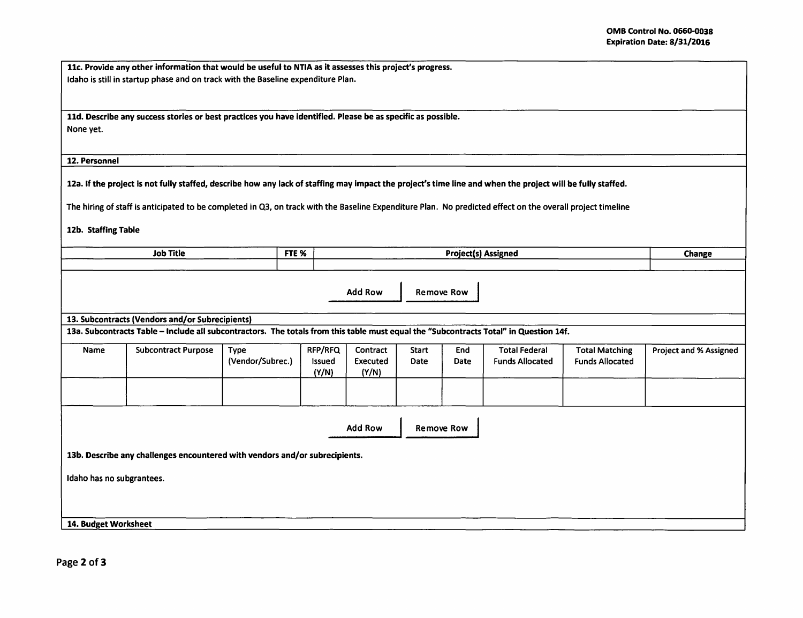| 11c. Provide any other information that would be useful to NTIA as it assesses this project's progress. |
|---------------------------------------------------------------------------------------------------------|
| Idaho is still in startup phase and on track with the Baseline expenditure Plan.                        |

11d. Describe any success stories or best practices you have identified. Please be as specific as possible. None yet.

12. Personnel

12a. If the project is not fully staffed, describe how any lack of staffing may impact the project's time line and when the project will be fully staffed.

The hiring of staff is anticipated to be completed in Q3, on track with the Baseline Expenditure Plan. No predicted effect on the overall project timeline

12b. Staffing Table

| <b>Job Title</b><br>FTE %                                                                                                             |                                                 |                                 |                                   | <b>Project(s) Assigned</b>    |               |                           |                                                |                                                 |                        |  |
|---------------------------------------------------------------------------------------------------------------------------------------|-------------------------------------------------|---------------------------------|-----------------------------------|-------------------------------|---------------|---------------------------|------------------------------------------------|-------------------------------------------------|------------------------|--|
|                                                                                                                                       |                                                 |                                 |                                   |                               |               |                           |                                                |                                                 | Change                 |  |
|                                                                                                                                       |                                                 |                                 |                                   | <b>Add Row</b>                |               | <b>Remove Row</b>         |                                                |                                                 |                        |  |
|                                                                                                                                       | 13. Subcontracts (Vendors and/or Subrecipients) |                                 |                                   |                               |               |                           |                                                |                                                 |                        |  |
| 13a. Subcontracts Table - Include all subcontractors. The totals from this table must equal the "Subcontracts Total" in Question 14f. |                                                 |                                 |                                   |                               |               |                           |                                                |                                                 |                        |  |
| Name                                                                                                                                  | <b>Subcontract Purpose</b>                      | <b>Type</b><br>(Vendor/Subrec.) | <b>RFP/RFQ</b><br>Issued<br>(Y/N) | Contract<br>Executed<br>(Y/N) | Start<br>Date | <b>End</b><br><b>Date</b> | <b>Total Federal</b><br><b>Funds Allocated</b> | <b>Total Matching</b><br><b>Funds Allocated</b> | Project and % Assigned |  |
|                                                                                                                                       |                                                 |                                 |                                   |                               |               |                           |                                                |                                                 |                        |  |
| <b>Add Row</b><br><b>Remove Row</b>                                                                                                   |                                                 |                                 |                                   |                               |               |                           |                                                |                                                 |                        |  |
| 13b. Describe any challenges encountered with vendors and/or subrecipients.                                                           |                                                 |                                 |                                   |                               |               |                           |                                                |                                                 |                        |  |
| Idaho has no subgrantees.                                                                                                             |                                                 |                                 |                                   |                               |               |                           |                                                |                                                 |                        |  |
| 14. Budget Worksheet                                                                                                                  |                                                 |                                 |                                   |                               |               |                           |                                                |                                                 |                        |  |